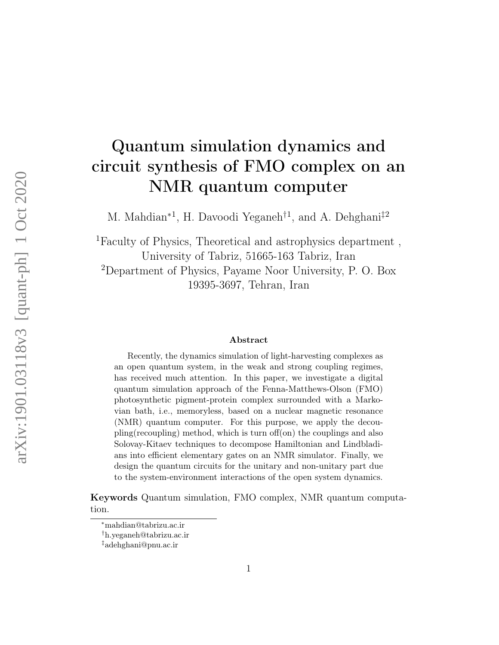# Quantum simulation dynamics and circuit synthesis of FMO complex on an NMR quantum computer

M. Mahdian<sup>\*1</sup>, H. Davoodi Yeganeh<sup>†1</sup>, and A. Dehghani<sup>‡2</sup>

<sup>1</sup>Faculty of Physics, Theoretical and astrophysics department , University of Tabriz, 51665-163 Tabriz, Iran <sup>2</sup>Department of Physics, Payame Noor University, P. O. Box 19395-3697, Tehran, Iran

#### Abstract

Recently, the dynamics simulation of light-harvesting complexes as an open quantum system, in the weak and strong coupling regimes, has received much attention. In this paper, we investigate a digital quantum simulation approach of the Fenna-Matthews-Olson (FMO) photosynthetic pigment-protein complex surrounded with a Markovian bath, i.e., memoryless, based on a nuclear magnetic resonance (NMR) quantum computer. For this purpose, we apply the decoupling(recoupling) method, which is turn off(on) the couplings and also Solovay-Kitaev techniques to decompose Hamiltonian and Lindbladians into efficient elementary gates on an NMR simulator. Finally, we design the quantum circuits for the unitary and non-unitary part due to the system-environment interactions of the open system dynamics.

Keywords Quantum simulation, FMO complex, NMR quantum computation.

<sup>∗</sup>mahdian@tabrizu.ac.ir

<sup>†</sup>h.yeganeh@tabrizu.ac.ir

<sup>‡</sup>adehghani@pnu.ac.ir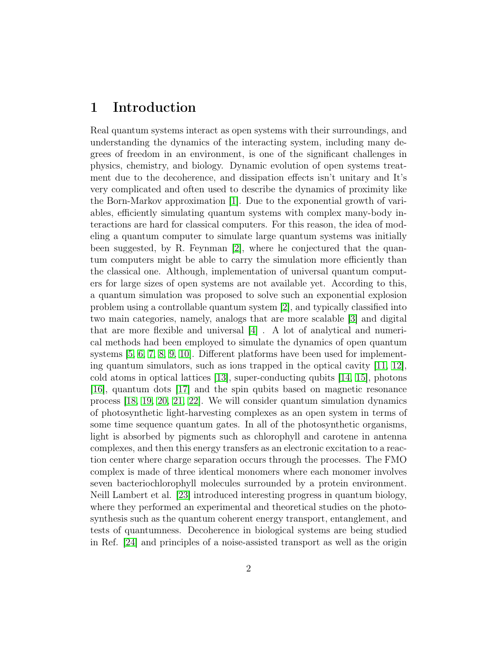## 1 Introduction

Real quantum systems interact as open systems with their surroundings, and understanding the dynamics of the interacting system, including many degrees of freedom in an environment, is one of the significant challenges in physics, chemistry, and biology. Dynamic evolution of open systems treatment due to the decoherence, and dissipation effects isn't unitary and It's very complicated and often used to describe the dynamics of proximity like the Born-Markov approximation [\[1\]](#page-15-0). Due to the exponential growth of variables, efficiently simulating quantum systems with complex many-body interactions are hard for classical computers. For this reason, the idea of modeling a quantum computer to simulate large quantum systems was initially been suggested, by R. Feynman [\[2\]](#page-15-1), where he conjectured that the quantum computers might be able to carry the simulation more efficiently than the classical one. Although, implementation of universal quantum computers for large sizes of open systems are not available yet. According to this, a quantum simulation was proposed to solve such an exponential explosion problem using a controllable quantum system [\[2\]](#page-15-1), and typically classified into two main categories, namely, analogs that are more scalable [\[3\]](#page-15-2) and digital that are more flexible and universal [\[4\]](#page-15-3) . A lot of analytical and numerical methods had been employed to simulate the dynamics of open quantum systems [\[5,](#page-15-4) [6,](#page-15-5) [7,](#page-15-6) [8,](#page-15-7) [9,](#page-16-0) [10\]](#page-16-1). Different platforms have been used for implementing quantum simulators, such as ions trapped in the optical cavity [\[11,](#page-16-2) [12\]](#page-16-3), cold atoms in optical lattices [\[13\]](#page-16-4), super-conducting qubits [\[14,](#page-16-5) [15\]](#page-16-6), photons [\[16\]](#page-16-7), quantum dots [\[17\]](#page-16-8) and the spin qubits based on magnetic resonance process [\[18,](#page-16-9) [19,](#page-16-10) [20,](#page-17-0) [21,](#page-17-1) [22\]](#page-17-2). We will consider quantum simulation dynamics of photosynthetic light-harvesting complexes as an open system in terms of some time sequence quantum gates. In all of the photosynthetic organisms, light is absorbed by pigments such as chlorophyll and carotene in antenna complexes, and then this energy transfers as an electronic excitation to a reaction center where charge separation occurs through the processes. The FMO complex is made of three identical monomers where each monomer involves seven bacteriochlorophyll molecules surrounded by a protein environment. Neill Lambert et al. [\[23\]](#page-17-3) introduced interesting progress in quantum biology, where they performed an experimental and theoretical studies on the photosynthesis such as the quantum coherent energy transport, entanglement, and tests of quantumness. Decoherence in biological systems are being studied in Ref. [\[24\]](#page-17-4) and principles of a noise-assisted transport as well as the origin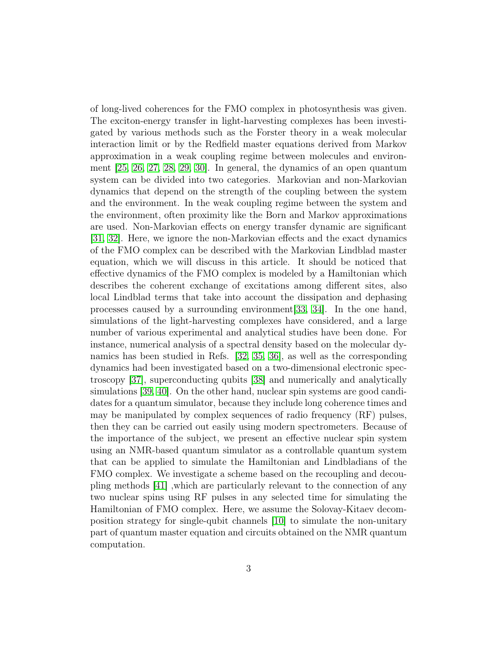of long-lived coherences for the FMO complex in photosynthesis was given. The exciton-energy transfer in light-harvesting complexes has been investigated by various methods such as the Forster theory in a weak molecular interaction limit or by the Redfield master equations derived from Markov approximation in a weak coupling regime between molecules and environment [\[25,](#page-17-5) [26,](#page-17-6) [27,](#page-17-7) [28,](#page-17-8) [29,](#page-17-9) [30\]](#page-17-10). In general, the dynamics of an open quantum system can be divided into two categories. Markovian and non-Markovian dynamics that depend on the strength of the coupling between the system and the environment. In the weak coupling regime between the system and the environment, often proximity like the Born and Markov approximations are used. Non-Markovian effects on energy transfer dynamic are significant [\[31,](#page-18-0) [32\]](#page-18-1). Here, we ignore the non-Markovian effects and the exact dynamics of the FMO complex can be described with the Markovian Lindblad master equation, which we will discuss in this article. It should be noticed that effective dynamics of the FMO complex is modeled by a Hamiltonian which describes the coherent exchange of excitations among different sites, also local Lindblad terms that take into account the dissipation and dephasing processes caused by a surrounding environment[\[33,](#page-18-2) [34\]](#page-18-3). In the one hand, simulations of the light-harvesting complexes have considered, and a large number of various experimental and analytical studies have been done. For instance, numerical analysis of a spectral density based on the molecular dynamics has been studied in Refs. [\[32,](#page-18-1) [35,](#page-18-4) [36\]](#page-18-5), as well as the corresponding dynamics had been investigated based on a two-dimensional electronic spectroscopy [\[37\]](#page-18-6), superconducting qubits [\[38\]](#page-18-7) and numerically and analytically simulations [\[39,](#page-18-8) [40\]](#page-19-0). On the other hand, nuclear spin systems are good candidates for a quantum simulator, because they include long coherence times and may be manipulated by complex sequences of radio frequency (RF) pulses, then they can be carried out easily using modern spectrometers. Because of the importance of the subject, we present an effective nuclear spin system using an NMR-based quantum simulator as a controllable quantum system that can be applied to simulate the Hamiltonian and Lindbladians of the FMO complex. We investigate a scheme based on the recoupling and decoupling methods [\[41\]](#page-19-1) ,which are particularly relevant to the connection of any two nuclear spins using RF pulses in any selected time for simulating the Hamiltonian of FMO complex. Here, we assume the Solovay-Kitaev decomposition strategy for single-qubit channels [\[10\]](#page-16-1) to simulate the non-unitary part of quantum master equation and circuits obtained on the NMR quantum computation.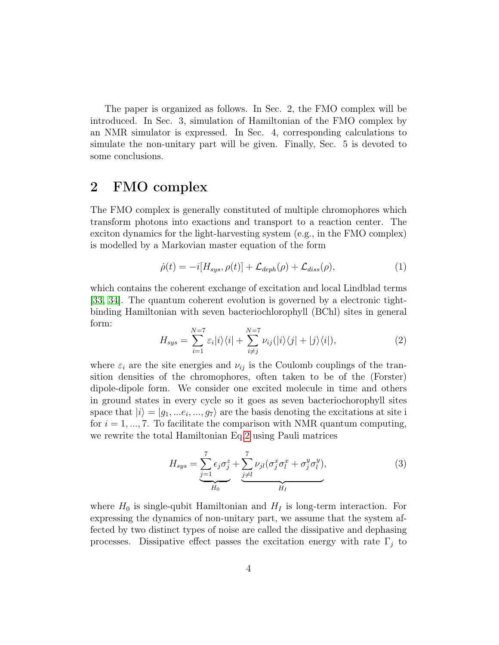The paper is organized as follows. In Sec. 2, the FMO complex will be introduced. In Sec. 3, simulation of Hamiltonian of the FMO complex by an NMR simulator is expressed. In Sec. 4, corresponding calculations to simulate the non-unitary part will be given. Finally, Sec. 5 is devoted to some conclusions.

# 2 FMO complex

The FMO complex is generally constituted of multiple chromophores which transform photons into exactions and transport to a reaction center. The exciton dynamics for the light-harvesting system (e.g., in the FMO complex) is modelled by a Markovian master equation of the form

$$
\dot{\rho}(t) = -i[H_{sys}, \rho(t)] + \mathcal{L}_{deph}(\rho) + \mathcal{L}_{diss}(\rho),\tag{1}
$$

which contains the coherent exchange of excitation and local Lindblad terms [\[33,](#page-18-2) [34\]](#page-18-3). The quantum coherent evolution is governed by a electronic tightbinding Hamiltonian with seven bacteriochlorophyll (BChl) sites in general form:

<span id="page-3-0"></span>
$$
H_{sys} = \sum_{i=1}^{N=7} \varepsilon_i |i\rangle\langle i| + \sum_{i \neq j}^{N=7} \nu_{ij} (|i\rangle\langle j| + |j\rangle\langle i|), \tag{2}
$$

where  $\varepsilon_i$  are the site energies and  $\nu_{ij}$  is the Coulomb couplings of the transition densities of the chromophores, often taken to be of the (Forster) dipole-dipole form. We consider one excited molecule in time and others in ground states in every cycle so it goes as seven bacteriochorophyll sites space that  $|i\rangle = |g_1, ..., g_7\rangle$  are the basis denoting the excitations at site i for  $i = 1, ..., 7$ . To facilitate the comparison with NMR quantum computing, we rewrite the total Hamiltonian Eq[.2](#page-3-0) using Pauli matrices

<span id="page-3-1"></span>
$$
H_{sys} = \underbrace{\sum_{j=1}^{7} \epsilon_j \sigma_j^z}_{H_0} + \underbrace{\sum_{j \neq l}^{7} \nu_{jl} (\sigma_j^x \sigma_l^x + \sigma_j^y \sigma_l^y)}_{H_I},
$$
\n
$$
\tag{3}
$$

where  $H_0$  is single-qubit Hamiltonian and  $H_I$  is long-term interaction. For expressing the dynamics of non-unitary part, we assume that the system affected by two distinct types of noise are called the dissipative and dephasing processes. Dissipative effect passes the excitation energy with rate  $\Gamma_i$  to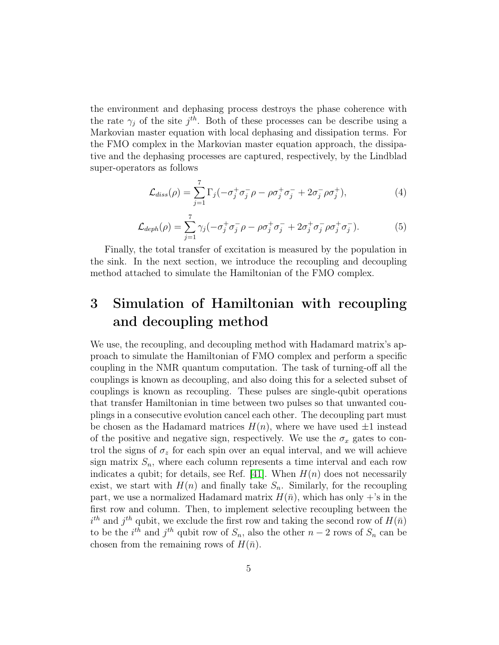the environment and dephasing process destroys the phase coherence with the rate  $\gamma_j$  of the site  $j^{th}$ . Both of these processes can be describe using a Markovian master equation with local dephasing and dissipation terms. For the FMO complex in the Markovian master equation approach, the dissipative and the dephasing processes are captured, respectively, by the Lindblad super-operators as follows

<span id="page-4-0"></span>
$$
\mathcal{L}_{diss}(\rho) = \sum_{j=1}^{7} \Gamma_j(-\sigma_j^+ \sigma_j^- \rho - \rho \sigma_j^+ \sigma_j^- + 2\sigma_j^- \rho \sigma_j^+), \tag{4}
$$

$$
\mathcal{L}_{deph}(\rho) = \sum_{j=1}^{7} \gamma_j \left( -\sigma_j^+ \sigma_j^- \rho - \rho \sigma_j^+ \sigma_j^- + 2\sigma_j^+ \sigma_j^- \rho \sigma_j^+ \sigma_j^- \right). \tag{5}
$$

Finally, the total transfer of excitation is measured by the population in the sink. In the next section, we introduce the recoupling and decoupling method attached to simulate the Hamiltonian of the FMO complex.

# 3 Simulation of Hamiltonian with recoupling and decoupling method

We use, the recoupling, and decoupling method with Hadamard matrix's approach to simulate the Hamiltonian of FMO complex and perform a specific coupling in the NMR quantum computation. The task of turning-off all the couplings is known as decoupling, and also doing this for a selected subset of couplings is known as recoupling. These pulses are single-qubit operations that transfer Hamiltonian in time between two pulses so that unwanted couplings in a consecutive evolution cancel each other. The decoupling part must be chosen as the Hadamard matrices  $H(n)$ , where we have used  $\pm 1$  instead of the positive and negative sign, respectively. We use the  $\sigma_x$  gates to control the signs of  $\sigma_z$  for each spin over an equal interval, and we will achieve sign matrix  $S_n$ , where each column represents a time interval and each row indicates a qubit; for details, see Ref. [\[41\]](#page-19-1). When  $H(n)$  does not necessarily exist, we start with  $H(n)$  and finally take  $S_n$ . Similarly, for the recoupling part, we use a normalized Hadamard matrix  $H(\bar{n})$ , which has only  $+$ 's in the first row and column. Then, to implement selective recoupling between the  $i^{th}$  and  $j^{th}$  qubit, we exclude the first row and taking the second row of  $H(\bar{n})$ to be the  $i^{th}$  and  $j^{th}$  qubit row of  $S_n$ , also the other  $n-2$  rows of  $S_n$  can be chosen from the remaining rows of  $H(\bar{n})$ .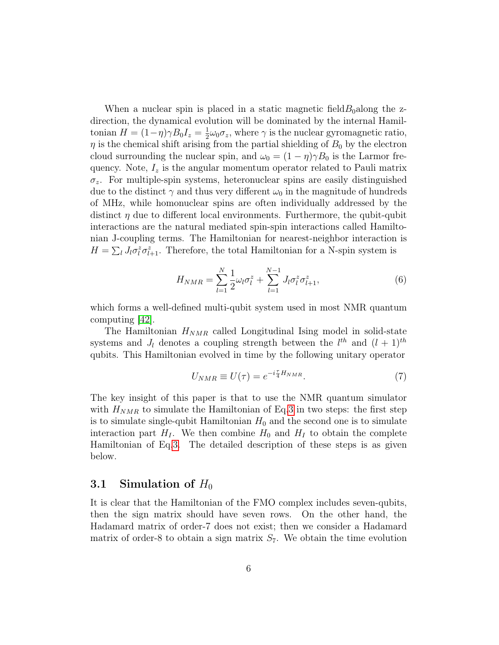When a nuclear spin is placed in a static magnetic field  $B_0$  along the zdirection, the dynamical evolution will be dominated by the internal Hamiltonian  $H = (1 - \eta)\gamma B_0 I_z = \frac{1}{2}$  $\frac{1}{2}\omega_0\sigma_z$ , where  $\gamma$  is the nuclear gyromagnetic ratio,  $\eta$  is the chemical shift arising from the partial shielding of  $B_0$  by the electron cloud surrounding the nuclear spin, and  $\omega_0 = (1 - \eta)\gamma B_0$  is the Larmor frequency. Note,  $I_z$  is the angular momentum operator related to Pauli matrix  $\sigma_z$ . For multiple-spin systems, heteronuclear spins are easily distinguished due to the distinct  $\gamma$  and thus very different  $\omega_0$  in the magnitude of hundreds of MHz, while homonuclear spins are often individually addressed by the distinct  $\eta$  due to different local environments. Furthermore, the qubit-qubit interactions are the natural mediated spin-spin interactions called Hamiltonian J-coupling terms. The Hamiltonian for nearest-neighbor interaction is  $H = \sum_l J_l \sigma_l^z \sigma_{l+1}^z$ . Therefore, the total Hamiltonian for a N-spin system is

$$
H_{NMR} = \sum_{l=1}^{N} \frac{1}{2} \omega_l \sigma_l^z + \sum_{l=1}^{N-1} J_l \sigma_l^z \sigma_{l+1}^z,
$$
\n(6)

which forms a well-defined multi-qubit system used in most NMR quantum computing [\[42\]](#page-19-2).

The Hamiltonian  $H_{NMR}$  called Longitudinal Ising model in solid-state systems and  $J_l$  denotes a coupling strength between the  $l^{th}$  and  $(l + 1)^{th}$ qubits. This Hamiltonian evolved in time by the following unitary operator

<span id="page-5-0"></span>
$$
U_{NMR} \equiv U(\tau) = e^{-i\frac{\tau}{4}H_{NMR}}.\tag{7}
$$

The key insight of this paper is that to use the NMR quantum simulator with  $H_{NMR}$  to simulate the Hamiltonian of Eq[.3](#page-3-1) in two steps: the first step is to simulate single-qubit Hamiltonian  $H_0$  and the second one is to simulate interaction part  $H_I$ . We then combine  $H_0$  and  $H_I$  to obtain the complete Hamiltonian of Eq[.3.](#page-3-1) The detailed description of these steps is as given below.

## 3.1 Simulation of  $H_0$

It is clear that the Hamiltonian of the FMO complex includes seven-qubits, then the sign matrix should have seven rows. On the other hand, the Hadamard matrix of order-7 does not exist; then we consider a Hadamard matrix of order-8 to obtain a sign matrix  $S_7$ . We obtain the time evolution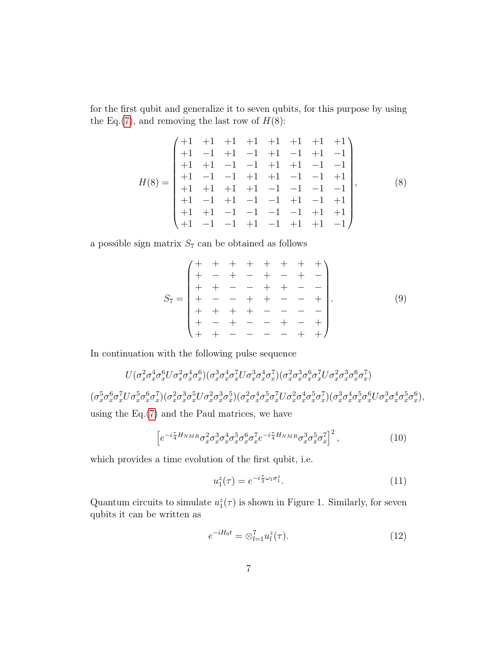for the first qubit and generalize it to seven qubits, for this purpose by using the Eq.[\(7\)](#page-5-0), and removing the last row of  $H(8)$ :

$$
H(8) = \begin{pmatrix} +1 & +1 & +1 & +1 & +1 & +1 & +1 & +1 \\ +1 & -1 & +1 & -1 & +1 & -1 & +1 & -1 \\ +1 & +1 & -1 & -1 & +1 & +1 & -1 & -1 \\ +1 & -1 & -1 & +1 & +1 & -1 & -1 & +1 \\ +1 & +1 & +1 & +1 & -1 & -1 & -1 & -1 \\ +1 & +1 & -1 & -1 & -1 & +1 & -1 & +1 \\ +1 & -1 & -1 & -1 & +1 & -1 & +1 & +1 \end{pmatrix}, \tag{8}
$$

a possible sign matrix  $S_7$  can be obtained as follows

S<sup>7</sup> = + + + + + + + + + − + − + − + − + + − − + + − − + − − + + − − + + + + + − − − − + − + − − + − + + + − − − − + + . (9)

In continuation with the following pulse sequence

$$
U(\sigma_x^2 \sigma_x^4 \sigma_x^6 U \sigma_x^2 \sigma_x^4 \sigma_x^6)(\sigma_x^3 \sigma_x^4 \sigma_x^7 U \sigma_x^3 \sigma_x^4 \sigma_x^7)(\sigma_x^2 \sigma_x^3 \sigma_x^6 \sigma_x^7 U \sigma_x^2 \sigma_x^3 \sigma_x^6 \sigma_x^7)
$$
  
\n
$$
(\sigma_x^5 \sigma_x^6 \sigma_x^7 U \sigma_x^5 \sigma_x^6 \sigma_x^7)(\sigma_x^2 \sigma_x^3 \sigma_x^5 U \sigma_x^2 \sigma_x^3 \sigma_x^5)(\sigma_x^2 \sigma_x^4 \sigma_x^5 \sigma_x^7 U \sigma_x^2 \sigma_x^4 \sigma_x^5 \sigma_x^7)(\sigma_x^3 \sigma_x^4 \sigma_x^5 \sigma_x^6 U \sigma_x^3 \sigma_x^4 \sigma_x^5 \sigma_x^6),
$$
  
\nusing the Eq.(7) and the Paul matrices, we have

<span id="page-6-0"></span>
$$
\left[e^{-i\frac{\tau}{4}H_{NMR}}\sigma_x^2\sigma_x^3\sigma_x^4\sigma_x^5\sigma_x^6\sigma_x^7e^{-i\frac{\tau}{4}H_{NMR}}\sigma_x^3\sigma_x^5\sigma_x^7\right]^2,\tag{10}
$$

which provides a time evolution of the first qubit, i.e.

$$
u_1^z(\tau) = e^{-i\frac{\tau}{2}\omega_1\sigma_1^z}.
$$
\n(11)

Quantum circuits to simulate  $u_1^z(\tau)$  is shown in Figure 1. Similarly, for seven qubits it can be written as

$$
e^{-iH_0t} = \otimes_{l=1}^7 u_l^z(\tau). \tag{12}
$$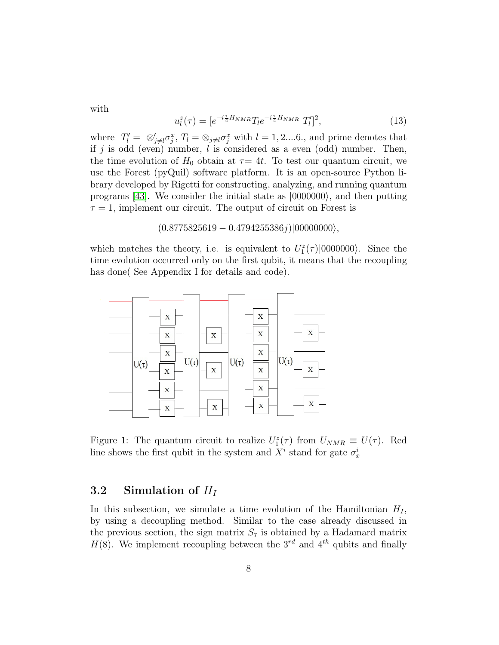with

$$
u_l^z(\tau) = [e^{-i\frac{\tau}{4}H_{NMR}}T_l e^{-i\frac{\tau}{4}H_{NMR}} T'_l]^2, \qquad (13)
$$

where  $T'_l = \otimes_{j \neq l}^{\prime} \sigma_j^x$ ,  $T_l = \otimes_{j \neq l}^{\prime} \sigma_j^x$  with  $l = 1, 2, \ldots, 6$ , and prime denotes that if j is odd (even) number,  $l$  is considered as a even (odd) number. Then, the time evolution of  $H_0$  obtain at  $\tau = 4t$ . To test our quantum circuit, we use the Forest (pyQuil) software platform. It is an open-source Python library developed by Rigetti for constructing, analyzing, and running quantum programs [\[43\]](#page-19-3). We consider the initial state as  $|0000000\rangle$ , and then putting  $\tau = 1$ , implement our circuit. The output of circuit on Forest is

 $(0.8775825619 - 0.4794255386j)|00000000\rangle,$ 

which matches the theory, i.e. is equivalent to  $U_1^z(\tau)|0000000\rangle$ . Since the time evolution occurred only on the first qubit, it means that the recoupling has done( See Appendix I for details and code).



Figure 1: The quantum circuit to realize  $U_1^z(\tau)$  from  $U_{NMR} \equiv U(\tau)$ . Red line shows the first qubit in the system and  $X^i$  stand for gate  $\sigma_x^i$ 

## 3.2 Simulation of  $H_I$

In this subsection, we simulate a time evolution of the Hamiltonian  $H_I$ , by using a decoupling method. Similar to the case already discussed in the previous section, the sign matrix  $S_7$  is obtained by a Hadamard matrix  $H(8)$ . We implement recoupling between the 3<sup>rd</sup> and 4<sup>th</sup> qubits and finally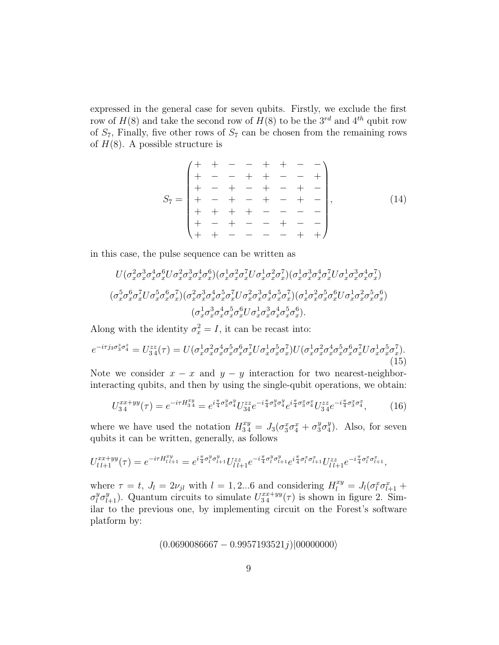expressed in the general case for seven qubits. Firstly, we exclude the first row of  $H(8)$  and take the second row of  $H(8)$  to be the  $3^{rd}$  and  $4^{th}$  qubit row of  $S_7$ , Finally, five other rows of  $S_7$  can be chosen from the remaining rows of  $H(8)$ . A possible structure is

S<sup>7</sup> = + + − − + + − − + − − + + − − + + − + − + − + − + − + − + − + − + + + + − − − − + − + − − + − − + + − − − − + + , (14)

in this case, the pulse sequence can be written as

$$
U(\sigma_x^2 \sigma_x^3 \sigma_x^4 \sigma_x^6 U \sigma_x^2 \sigma_x^3 \sigma_x^4 \sigma_x^6)(\sigma_x^1 \sigma_x^2 \sigma_x^7 U \sigma_x^1 \sigma_x^2 \sigma_x^7)(\sigma_x^1 \sigma_x^3 \sigma_x^4 \sigma_x^7 U \sigma_x^1 \sigma_x^3 \sigma_x^4 \sigma_x^7)
$$
  
\n
$$
(\sigma_x^5 \sigma_x^6 \sigma_x^7 U \sigma_x^5 \sigma_x^6 \sigma_x^7)(\sigma_x^2 \sigma_x^3 \sigma_x^4 \sigma_x^5 \sigma_x^7 U \sigma_x^2 \sigma_x^3 \sigma_x^4 \sigma_x^5 \sigma_x^7)(\sigma_x^1 \sigma_x^2 \sigma_x^5 \sigma_x^6 U \sigma_x^1 \sigma_x^2 \sigma_x^5 \sigma_x^6)
$$
  
\n
$$
(\sigma_x^1 \sigma_x^3 \sigma_x^4 \sigma_x^5 \sigma_x^6 U \sigma_x^1 \sigma_x^3 \sigma_x^4 \sigma_x^5 \sigma_x^6).
$$

Along with the identity  $\sigma_x^2 = I$ , it can be recast into:

$$
e^{-i\tau j_3\sigma_3^z\sigma_4^z} = U_{3\,4}^{zz}(\tau) = U(\sigma_x^1 \sigma_x^2 \sigma_x^4 \sigma_x^5 \sigma_x^6 \sigma_x^7 U \sigma_x^1 \sigma_x^5 \sigma_x^7) U(\sigma_x^1 \sigma_x^2 \sigma_x^4 \sigma_x^5 \sigma_x^6 \sigma_x^7 U \sigma_x^1 \sigma_x^5 \sigma_x^7). \tag{15}
$$

Note we consider  $x - x$  and  $y - y$  interaction for two nearest-neighborinteracting qubits, and then by using the single-qubit operations, we obtain:

<span id="page-8-0"></span>
$$
U_{34}^{xx+yy}(\tau) = e^{-i\tau H_{34}^{xy}} = e^{i\frac{\pi}{4}\sigma_3^y \sigma_4^y} U_{34}^{zz} e^{-i\frac{\pi}{4}\sigma_3^y \sigma_4^y} e^{i\frac{\pi}{4}\sigma_3^x \sigma_4^x} U_{34}^{zz} e^{-i\frac{\pi}{4}\sigma_3^x \sigma_4^x}, \tag{16}
$$

where we have used the notation  $H_{34}^{xy} = J_3(\sigma_3^x \sigma_4^x + \sigma_3^y \sigma_4^y)$  $_{4}^{y}$ ). Also, for seven qubits it can be written, generally, as follows

$$
U_{l\,l+1}^{xx+yy}(\tau) = e^{-i\tau H_{l\,l+1}^{xy}} = e^{i\frac{\pi}{4}\sigma_l^y \sigma_{l+1}^y} U_{l\,l+1}^{zz} e^{-i\frac{\pi}{4}\sigma_l^y \sigma_{l+1}^y} e^{i\frac{\pi}{4}\sigma_l^x \sigma_{l+1}^x} U_{l\,l+1}^{zz} e^{-i\frac{\pi}{4}\sigma_l^x \sigma_{l+1}^x},
$$

where  $\tau = t$ ,  $J_l = 2\nu_{jl}$  with  $l = 1, 2...6$  and considering  $H_l^{xy} = J_l(\sigma_l^x \sigma_{l+1}^x +$  $\sigma_l^y \sigma_{l+1}^y$ ). Quantum circuits to simulate  $U_{34}^{xx+yy}(\tau)$  is shown in figure 2. Similar to the previous one, by implementing circuit on the Forest's software platform by:

$$
(0.0690086667 - 0.9957193521j)|00000000\rangle
$$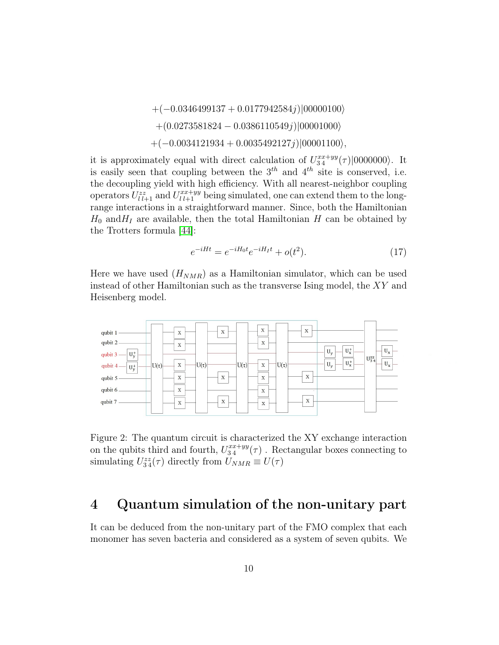$+(-0.0346499137 + 0.0177942584j)|00000100\rangle$  $+(0.0273581824 - 0.0386110549j)|00001000\rangle$  $+(-0.0034121934 + 0.0035492127j)|00001100\rangle,$ 

it is approximately equal with direct calculation of  $U_{34}^{xx+yy}(\tau)|0000000\rangle$ . It is easily seen that coupling between the  $3<sup>th</sup>$  and  $4<sup>th</sup>$  site is conserved, i.e. the decoupling yield with high efficiency. With all nearest-neighbor coupling operators  $U_{l\,l+1}^{zz}$  and  $U_{l\,l+1}^{xx+yy}$  being simulated, one can extend them to the longrange interactions in a straightforward manner. Since, both the Hamiltonian  $H_0$  and  $H_1$  are available, then the total Hamiltonian H can be obtained by the Trotters formula [\[44\]](#page-19-4):

$$
e^{-iHt} = e^{-iH_0t}e^{-iH_1t} + o(t^2).
$$
 (17)

Here we have used  $(H_{NMR})$  as a Hamiltonian simulator, which can be used instead of other Hamiltonian such as the transverse Ising model, the XY and Heisenberg model.



Figure 2: The quantum circuit is characterized the XY exchange interaction on the qubits third and fourth,  $U_{34}^{xx+yy}(\tau)$ . Rectangular boxes connecting to simulating  $U_{34}^{zz}(\tau)$  directly from  $U_{NMR} \equiv U(\tau)$ 

# 4 Quantum simulation of the non-unitary part

It can be deduced from the non-unitary part of the FMO complex that each monomer has seven bacteria and considered as a system of seven qubits. We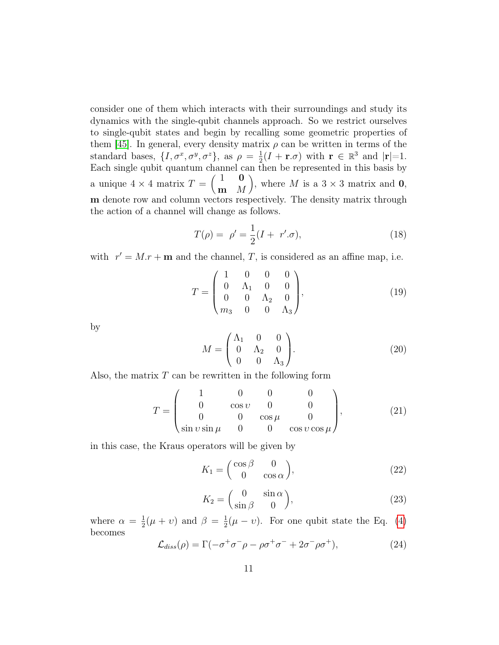consider one of them which interacts with their surroundings and study its dynamics with the single-qubit channels approach. So we restrict ourselves to single-qubit states and begin by recalling some geometric properties of them [\[45\]](#page-19-5). In general, every density matrix  $\rho$  can be written in terms of the standard bases,  $\{I, \sigma^x, \sigma^y, \sigma^z\}$ , as  $\rho = \frac{1}{2}$  $\frac{1}{2}(I + \mathbf{r}.\sigma)$  with  $\mathbf{r} \in \mathbb{R}^3$  and  $|\mathbf{r}| = 1$ . Each single qubit quantum channel can then be represented in this basis by a unique  $4 \times 4$  matrix  $T = \begin{pmatrix} 1 & 0 \\ 0 & 1 \end{pmatrix}$  $\mathbf{m}$  M ), where M is a  $3 \times 3$  matrix and 0, m denote row and column vectors respectively. The density matrix through the action of a channel will change as follows.

$$
T(\rho) = \rho' = \frac{1}{2}(I + r'.\sigma),
$$
\n(18)

with  $r' = M.r + \mathbf{m}$  and the channel, T, is considered as an affine map, i.e.

$$
T = \begin{pmatrix} 1 & 0 & 0 & 0 \\ 0 & \Lambda_1 & 0 & 0 \\ 0 & 0 & \Lambda_2 & 0 \\ m_3 & 0 & 0 & \Lambda_3 \end{pmatrix},
$$
(19)

by

$$
M = \begin{pmatrix} \Lambda_1 & 0 & 0 \\ 0 & \Lambda_2 & 0 \\ 0 & 0 & \Lambda_3 \end{pmatrix} .
$$
 (20)

Also, the matrix  $T$  can be rewritten in the following form

$$
T = \begin{pmatrix} 1 & 0 & 0 & 0 \\ 0 & \cos \nu & 0 & 0 \\ 0 & 0 & \cos \mu & 0 \\ \sin \nu \sin \mu & 0 & 0 & \cos \nu \cos \mu \end{pmatrix},
$$
(21)

in this case, the Kraus operators will be given by

$$
K_1 = \begin{pmatrix} \cos \beta & 0\\ 0 & \cos \alpha \end{pmatrix},\tag{22}
$$

$$
K_2 = \begin{pmatrix} 0 & \sin \alpha \\ \sin \beta & 0 \end{pmatrix},\tag{23}
$$

where  $\alpha = \frac{1}{2}$  $\frac{1}{2}(\mu + v)$  and  $\beta = \frac{1}{2}$  $\frac{1}{2}(\mu - \nu)$ . For one qubit state the Eq. [\(4\)](#page-4-0) becomes

$$
\mathcal{L}_{diss}(\rho) = \Gamma(-\sigma^+\sigma^-\rho - \rho\sigma^+\sigma^- + 2\sigma^-\rho\sigma^+),\tag{24}
$$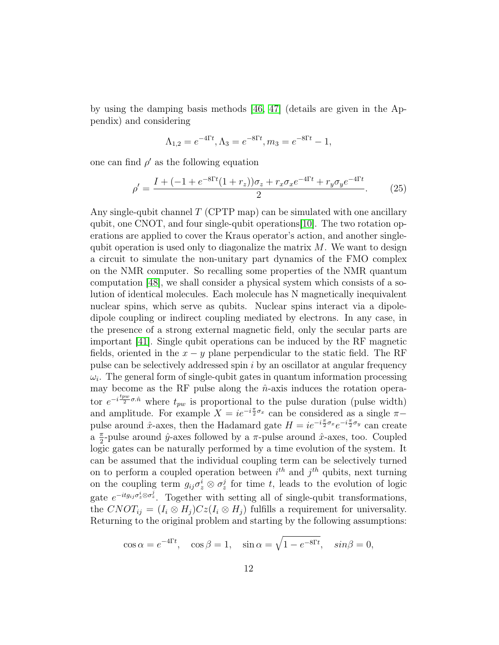by using the damping basis methods [\[46,](#page-19-6) [47\]](#page-19-7) (details are given in the Appendix) and considering

$$
\Lambda_{1,2} = e^{-4\Gamma t}, \Lambda_3 = e^{-8\Gamma t}, m_3 = e^{-8\Gamma t} - 1,
$$

one can find  $\rho'$  as the following equation

<span id="page-11-0"></span>
$$
\rho' = \frac{I + (-1 + e^{-8\Gamma t}(1 + r_z))\sigma_z + r_x \sigma_x e^{-4\Gamma t} + r_y \sigma_y e^{-4\Gamma t}}{2}.
$$
 (25)

Any single-qubit channel  $T$  (CPTP map) can be simulated with one ancillary qubit, one CNOT, and four single-qubit operations[\[10\]](#page-16-1). The two rotation operations are applied to cover the Kraus operator's action, and another singlequbit operation is used only to diagonalize the matrix  $M$ . We want to design a circuit to simulate the non-unitary part dynamics of the FMO complex on the NMR computer. So recalling some properties of the NMR quantum computation [\[48\]](#page-19-8), we shall consider a physical system which consists of a solution of identical molecules. Each molecule has N magnetically inequivalent nuclear spins, which serve as qubits. Nuclear spins interact via a dipoledipole coupling or indirect coupling mediated by electrons. In any case, in the presence of a strong external magnetic field, only the secular parts are important [\[41\]](#page-19-1). Single qubit operations can be induced by the RF magnetic fields, oriented in the  $x - y$  plane perpendicular to the static field. The RF pulse can be selectively addressed spin i by an oscillator at angular frequency  $\omega_i$ . The general form of single-qubit gates in quantum information processing may become as the RF pulse along the  $\hat{n}$ -axis induces the rotation operator  $e^{-i\frac{tpw}{2}\sigma.\hat{n}}$  where  $t_{pw}$  is proportional to the pulse duration (pulse width) and amplitude. For example  $X = ie^{-i\frac{\pi}{2}\sigma_x}$  can be considered as a single  $\pi$ pulse around  $\hat{x}$ -axes, then the Hadamard gate  $H = ie^{-i\frac{\pi}{2}\sigma_x}e^{-i\frac{\pi}{2}\sigma_y}$  can create  $a \frac{\pi}{2}$  $\frac{\pi}{2}$ -pulse around  $\hat{y}$ -axes followed by a π-pulse around  $\hat{x}$ -axes, too. Coupled logic gates can be naturally performed by a time evolution of the system. It can be assumed that the individual coupling term can be selectively turned on to perform a coupled operation between  $i^{th}$  and  $j^{th}$  qubits, next turning on the coupling term  $g_{ij}\sigma_z^i \otimes \sigma_z^j$  for time t, leads to the evolution of logic gate  $e^{-itg_{ij}\sigma_z^i\otimes\sigma_z^j}$ . Together with setting all of single-qubit transformations, the  $CNOT_{ij} = (I_i \otimes H_j)Cz(I_i \otimes H_j)$  fulfills a requirement for universality. Returning to the original problem and starting by the following assumptions:

$$
\cos \alpha = e^{-4\Gamma t}
$$
,  $\cos \beta = 1$ ,  $\sin \alpha = \sqrt{1 - e^{-8\Gamma t}}$ ,  $\sin \beta = 0$ ,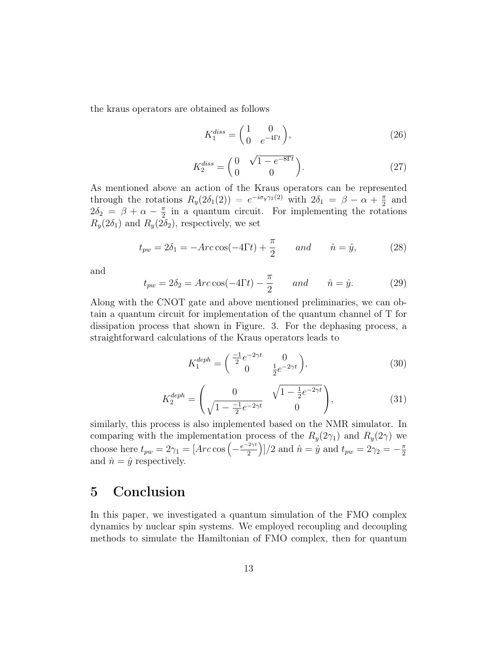the kraus operators are obtained as follows

$$
K_1^{diss} = \begin{pmatrix} 1 & 0 \\ 0 & e^{-4\Gamma t} \end{pmatrix},\tag{26}
$$

$$
K_2^{diss} = \begin{pmatrix} 0 & \sqrt{1 - e^{-8\Gamma t}} \\ 0 & 0 \end{pmatrix}.
$$
 (27)

As mentioned above an action of the Kraus operators can be represented through the rotations  $R_y(2\delta_1(2)) = e^{-i\sigma_y\gamma_1(2)}$  with  $2\delta_1 = \beta - \alpha + \frac{\pi}{2}$  $rac{\pi}{2}$  and  $2\delta_2 = \beta + \alpha - \frac{\pi}{2}$  $\frac{\pi}{2}$  in a quantum circuit. For implementing the rotations  $R_y(2\delta_1)$  and  $R_y(2\delta_2)$ , respectively, we set

$$
t_{pw} = 2\delta_1 = -Arc\cos(-4\Gamma t) + \frac{\pi}{2} \qquad and \qquad \hat{n} = \hat{y},\tag{28}
$$

and

$$
t_{pw} = 2\delta_2 = Arc\cos(-4\Gamma t) - \frac{\pi}{2} \qquad and \qquad \hat{n} = \hat{y}.
$$
 (29)

Along with the CNOT gate and above mentioned preliminaries, we can obtain a quantum circuit for implementation of the quantum channel of T for dissipation process that shown in Figure. 3. For the dephasing process, a straightforward calculations of the Kraus operators leads to

$$
K_1^{deph} = \begin{pmatrix} \frac{-1}{2}e^{-2\gamma t} & 0\\ 0 & \frac{1}{2}e^{-2\gamma t} \end{pmatrix},\tag{30}
$$

$$
K_2^{deph} = \begin{pmatrix} 0 & \sqrt{1 - \frac{1}{2}e^{-2\gamma t}} \\ \sqrt{1 - \frac{-1}{2}e^{-2\gamma t}} & 0 \end{pmatrix},
$$
(31)

similarly, this process is also implemented based on the NMR simulator. In comparing with the implementation process of the  $R_y(2\gamma_1)$  and  $R_y(2\gamma)$  we choose here  $t_{pw} = 2\gamma_1 = [Arc\cos\left(-\frac{e^{-2\gamma t}}{2}\right)]$ 2  $\int$ ]/2 and  $\hat{n} = \hat{y}$  and  $t_{pw} = 2\gamma_2 = -\frac{\pi}{2}$ 2 and  $\hat{n} = \hat{y}$  respectively.

# 5 Conclusion

In this paper, we investigated a quantum simulation of the FMO complex dynamics by nuclear spin systems. We employed recoupling and decoupling methods to simulate the Hamiltonian of FMO complex, then for quantum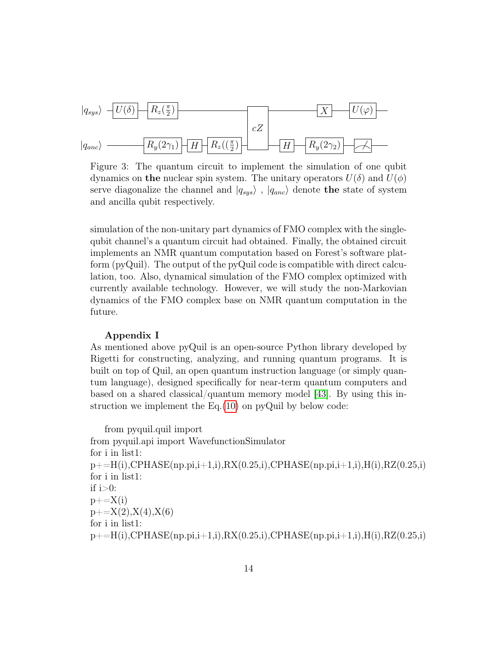$$
|q_{sys}\rangle - U(\delta) - R_z(\frac{\pi}{2})
$$
  
 $|q_{anc}\rangle - R_y(2\gamma_1) - H - R_z((\frac{\pi}{2}) - H - R_y(2\gamma_2) - A - H - R_y(2\gamma_1)$ 

Figure 3: The quantum circuit to implement the simulation of one qubit dynamics on the nuclear spin system. The unitary operators  $U(\delta)$  and  $U(\phi)$ serve diagonalize the channel and  $|q_{sys}\rangle$ ,  $|q_{anc}\rangle$  denote the state of system and ancilla qubit respectively.

simulation of the non-unitary part dynamics of FMO complex with the singlequbit channel's a quantum circuit had obtained. Finally, the obtained circuit implements an NMR quantum computation based on Forest's software platform (pyQuil). The output of the pyQuil code is compatible with direct calculation, too. Also, dynamical simulation of the FMO complex optimized with currently available technology. However, we will study the non-Markovian dynamics of the FMO complex base on NMR quantum computation in the future.

### Appendix I

As mentioned above pyQuil is an open-source Python library developed by Rigetti for constructing, analyzing, and running quantum programs. It is built on top of Quil, an open quantum instruction language (or simply quantum language), designed specifically for near-term quantum computers and based on a shared classical/quantum memory model [\[43\]](#page-19-3). By using this instruction we implement the  $Eq.(10)$  $Eq.(10)$  on pyQuil by below code:

```
from pyquil.quil import
from pyquil.api import WavefunctionSimulator
for i in list1:
p+=H(i),CPHASE(np.pi,i+1,i),RX(0.25,i),CPHASE(np.pi,i+1,i),H(i),RZ(0.25,i)
for i in list1:
if i>0:
p+=X(i)p+=X(2),X(4),X(6)for i in list1:
p+=H(i), CPHASE(np.pi,i+1,i), RX(0.25,i), CP HASE(np.pi,i+1,i),H(i),RZ(0.25,i)
```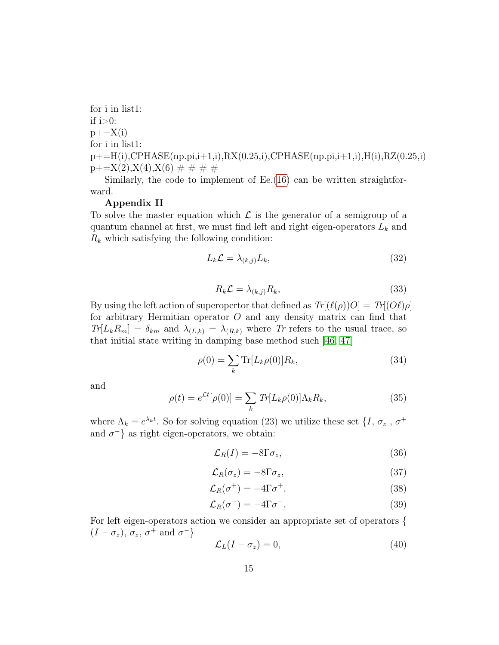for i in list1: if  $i>0$ :  $p+=X(i)$ for i in list1:  $p+=H(i)$ ,CPHASE(np.pi,i+1,i),RX(0.25,i),CPHASE(np.pi,i+1,i),H(i),RZ(0.25,i)  $p+=X(2),X(4),X(6)$  # # # #

Similarly, the code to implement of Ee.[\(16\)](#page-8-0) can be written straightforward.

### Appendix II

To solve the master equation which  $\mathcal L$  is the generator of a semigroup of a quantum channel at first, we must find left and right eigen-operators  $L_k$  and  $R_k$  which satisfying the following condition:

$$
L_k \mathcal{L} = \lambda_{(k,j)} L_k,\tag{32}
$$

$$
R_k \mathcal{L} = \lambda_{(k,j)} R_k,\tag{33}
$$

By using the left action of superopertor that defined as  $Tr[(\ell(\rho))O] = Tr[(O\ell)\rho]$ for arbitrary Hermitian operator O and any density matrix can find that  $Tr[L_kR_m] = \delta_{km}$  and  $\lambda_{(L,k)} = \lambda_{(R,k)}$  where Tr refers to the usual trace, so that initial state writing in damping base method such [\[46,](#page-19-6) [47\]](#page-19-7)

$$
\rho(0) = \sum_{k} \text{Tr}[L_k \rho(0)] R_k,\tag{34}
$$

and

<span id="page-14-0"></span>
$$
\rho(t) = e^{\mathcal{L}t}[\rho(0)] = \sum_{k} Tr[L_k \rho(0)] \Lambda_k R_k,
$$
\n(35)

where  $\Lambda_k = e^{\lambda_k t}$ . So for solving equation (23) we utilize these set  $\{I, \sigma_z, \sigma^+$ and  $\sigma^{-}$ } as right eigen-operators, we obtain:

$$
\mathcal{L}_R(I) = -8\Gamma \sigma_z,\tag{36}
$$

$$
\mathcal{L}_R(\sigma_z) = -8\Gamma\sigma_z,\tag{37}
$$

$$
\mathcal{L}_R(\sigma^+) = -4\Gamma\sigma^+, \tag{38}
$$

$$
\mathcal{L}_R(\sigma^-) = -4\Gamma\sigma^-, \tag{39}
$$

For left eigen-operators action we consider an appropriate set of operators {  $(I - \sigma_z), \sigma_z, \sigma^+ \text{ and } \sigma^-$ 

$$
\mathcal{L}_L(I - \sigma_z) = 0,\t\t(40)
$$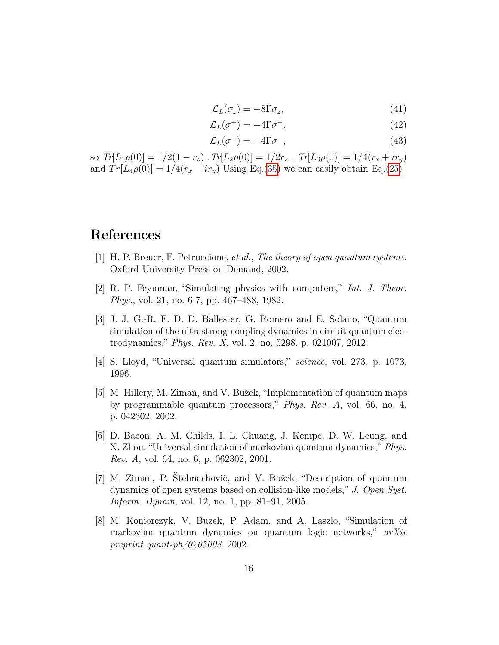$$
\mathcal{L}_L(\sigma_z) = -8\Gamma\sigma_z,\tag{41}
$$

$$
\mathcal{L}_L(\sigma^+) = -4\Gamma\sigma^+, \tag{42}
$$

$$
\mathcal{L}_L(\sigma^-) = -4\Gamma\sigma^-, \tag{43}
$$

so  $Tr[L_1\rho(0)] = 1/2(1 - r_z)$ ,  $Tr[L_2\rho(0)] = 1/2r_z$ ,  $Tr[L_3\rho(0)] = 1/4(r_x + ir_y)$ and  $Tr[L_4\rho(0)] = 1/4(r_x - ir_y)$  Using Eq.[\(35\)](#page-14-0) we can easily obtain Eq.[\(25\)](#page-11-0).

# References

- <span id="page-15-0"></span>[1] H.-P. Breuer, F. Petruccione, et al., The theory of open quantum systems. Oxford University Press on Demand, 2002.
- <span id="page-15-1"></span>[2] R. P. Feynman, "Simulating physics with computers," Int. J. Theor. Phys., vol. 21, no. 6-7, pp. 467–488, 1982.
- <span id="page-15-2"></span>[3] J. J. G.-R. F. D. D. Ballester, G. Romero and E. Solano, "Quantum simulation of the ultrastrong-coupling dynamics in circuit quantum electrodynamics," Phys. Rev. X, vol. 2, no. 5298, p. 021007, 2012.
- <span id="page-15-3"></span>[4] S. Lloyd, "Universal quantum simulators," science, vol. 273, p. 1073, 1996.
- <span id="page-15-4"></span>[5] M. Hillery, M. Ziman, and V. Bužek, "Implementation of quantum maps by programmable quantum processors," Phys. Rev. A, vol. 66, no. 4, p. 042302, 2002.
- <span id="page-15-5"></span>[6] D. Bacon, A. M. Childs, I. L. Chuang, J. Kempe, D. W. Leung, and X. Zhou, "Universal simulation of markovian quantum dynamics," Phys. Rev. A, vol. 64, no. 6, p. 062302, 2001.
- <span id="page-15-6"></span>[7] M. Ziman, P. Štelmachovič, and V. Bužek, "Description of quantum dynamics of open systems based on collision-like models," J. Open Syst. Inform. Dynam, vol. 12, no. 1, pp. 81–91, 2005.
- <span id="page-15-7"></span>[8] M. Koniorczyk, V. Buzek, P. Adam, and A. Laszlo, "Simulation of markovian quantum dynamics on quantum logic networks," arXiv preprint quant-ph/0205008, 2002.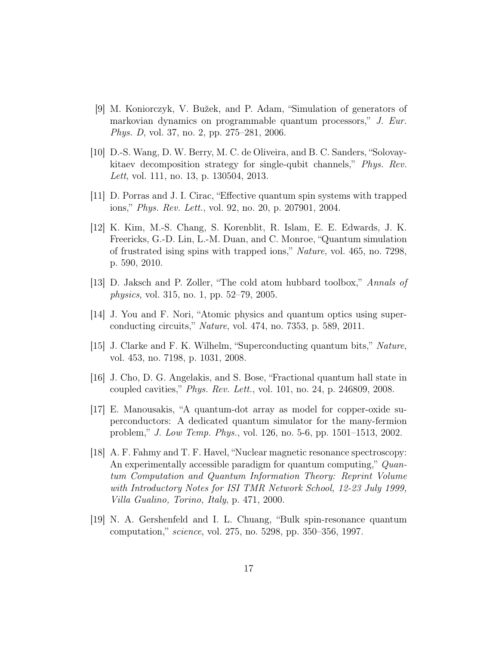- <span id="page-16-0"></span>[9] M. Koniorczyk, V. Bužek, and P. Adam, "Simulation of generators of markovian dynamics on programmable quantum processors," J. Eur. Phys. D, vol. 37, no. 2, pp. 275–281, 2006.
- <span id="page-16-1"></span>[10] D.-S. Wang, D. W. Berry, M. C. de Oliveira, and B. C. Sanders, "Solovaykitaev decomposition strategy for single-qubit channels," Phys. Rev. Lett, vol. 111, no. 13, p. 130504, 2013.
- <span id="page-16-2"></span>[11] D. Porras and J. I. Cirac, "Effective quantum spin systems with trapped ions," Phys. Rev. Lett., vol. 92, no. 20, p. 207901, 2004.
- <span id="page-16-3"></span>[12] K. Kim, M.-S. Chang, S. Korenblit, R. Islam, E. E. Edwards, J. K. Freericks, G.-D. Lin, L.-M. Duan, and C. Monroe, "Quantum simulation of frustrated ising spins with trapped ions," Nature, vol. 465, no. 7298, p. 590, 2010.
- <span id="page-16-4"></span>[13] D. Jaksch and P. Zoller, "The cold atom hubbard toolbox," Annals of physics, vol. 315, no. 1, pp. 52–79, 2005.
- <span id="page-16-5"></span>[14] J. You and F. Nori, "Atomic physics and quantum optics using superconducting circuits," Nature, vol. 474, no. 7353, p. 589, 2011.
- <span id="page-16-6"></span>[15] J. Clarke and F. K. Wilhelm, "Superconducting quantum bits," Nature, vol. 453, no. 7198, p. 1031, 2008.
- <span id="page-16-7"></span>[16] J. Cho, D. G. Angelakis, and S. Bose, "Fractional quantum hall state in coupled cavities," Phys. Rev. Lett., vol. 101, no. 24, p. 246809, 2008.
- <span id="page-16-8"></span>[17] E. Manousakis, "A quantum-dot array as model for copper-oxide superconductors: A dedicated quantum simulator for the many-fermion problem," J. Low Temp. Phys., vol. 126, no. 5-6, pp. 1501–1513, 2002.
- <span id="page-16-9"></span>[18] A. F. Fahmy and T. F. Havel, "Nuclear magnetic resonance spectroscopy: An experimentally accessible paradigm for quantum computing," Quantum Computation and Quantum Information Theory: Reprint Volume with Introductory Notes for ISI TMR Network School, 12-23 July 1999, Villa Gualino, Torino, Italy, p. 471, 2000.
- <span id="page-16-10"></span>[19] N. A. Gershenfeld and I. L. Chuang, "Bulk spin-resonance quantum computation," science, vol. 275, no. 5298, pp. 350–356, 1997.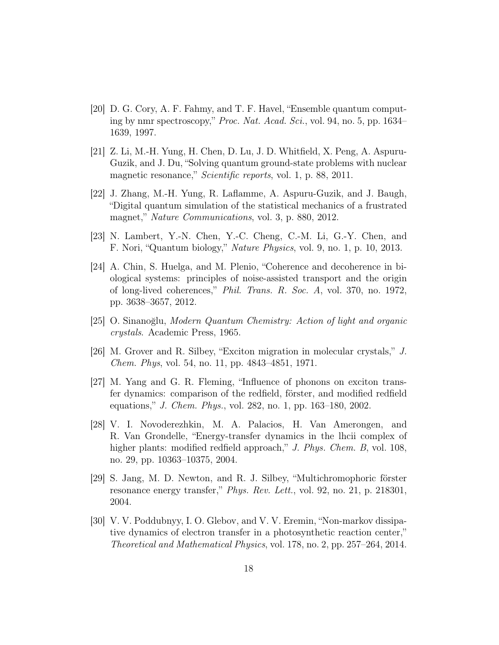- <span id="page-17-0"></span>[20] D. G. Cory, A. F. Fahmy, and T. F. Havel, "Ensemble quantum computing by nmr spectroscopy," Proc. Nat. Acad. Sci., vol. 94, no. 5, pp. 1634– 1639, 1997.
- <span id="page-17-1"></span>[21] Z. Li, M.-H. Yung, H. Chen, D. Lu, J. D. Whitfield, X. Peng, A. Aspuru-Guzik, and J. Du, "Solving quantum ground-state problems with nuclear magnetic resonance," Scientific reports, vol. 1, p. 88, 2011.
- <span id="page-17-2"></span>[22] J. Zhang, M.-H. Yung, R. Laflamme, A. Aspuru-Guzik, and J. Baugh, "Digital quantum simulation of the statistical mechanics of a frustrated magnet," Nature Communications, vol. 3, p. 880, 2012.
- <span id="page-17-3"></span>[23] N. Lambert, Y.-N. Chen, Y.-C. Cheng, C.-M. Li, G.-Y. Chen, and F. Nori, "Quantum biology," Nature Physics, vol. 9, no. 1, p. 10, 2013.
- <span id="page-17-4"></span>[24] A. Chin, S. Huelga, and M. Plenio, "Coherence and decoherence in biological systems: principles of noise-assisted transport and the origin of long-lived coherences," Phil. Trans. R. Soc. A, vol. 370, no. 1972, pp. 3638–3657, 2012.
- <span id="page-17-5"></span>[25] O. Sinanoğlu, Modern Quantum Chemistry: Action of light and organic crystals. Academic Press, 1965.
- <span id="page-17-6"></span>[26] M. Grover and R. Silbey, "Exciton migration in molecular crystals," J. Chem. Phys, vol. 54, no. 11, pp. 4843–4851, 1971.
- <span id="page-17-7"></span>[27] M. Yang and G. R. Fleming, "Influence of phonons on exciton transfer dynamics: comparison of the redfield, förster, and modified redfield equations," J. Chem. Phys., vol. 282, no. 1, pp. 163–180, 2002.
- <span id="page-17-8"></span>[28] V. I. Novoderezhkin, M. A. Palacios, H. Van Amerongen, and R. Van Grondelle, "Energy-transfer dynamics in the lhcii complex of higher plants: modified redfield approach," J. Phys. Chem. B, vol. 108, no. 29, pp. 10363–10375, 2004.
- <span id="page-17-9"></span>[29] S. Jang, M. D. Newton, and R. J. Silbey, "Multichromophoric förster resonance energy transfer," Phys. Rev. Lett., vol. 92, no. 21, p. 218301, 2004.
- <span id="page-17-10"></span>[30] V. V. Poddubnyy, I. O. Glebov, and V. V. Eremin, "Non-markov dissipative dynamics of electron transfer in a photosynthetic reaction center," Theoretical and Mathematical Physics, vol. 178, no. 2, pp. 257–264, 2014.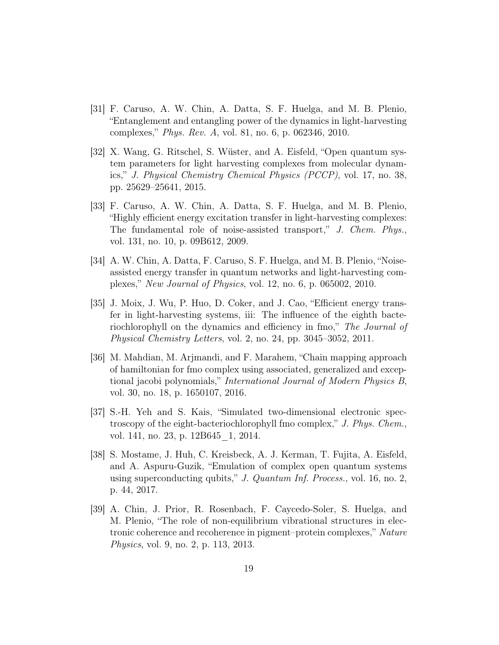- <span id="page-18-0"></span>[31] F. Caruso, A. W. Chin, A. Datta, S. F. Huelga, and M. B. Plenio, "Entanglement and entangling power of the dynamics in light-harvesting complexes," Phys. Rev. A, vol. 81, no. 6, p. 062346, 2010.
- <span id="page-18-1"></span>[32] X. Wang, G. Ritschel, S. Wüster, and A. Eisfeld, "Open quantum system parameters for light harvesting complexes from molecular dynamics," J. Physical Chemistry Chemical Physics (PCCP), vol. 17, no. 38, pp. 25629–25641, 2015.
- <span id="page-18-2"></span>[33] F. Caruso, A. W. Chin, A. Datta, S. F. Huelga, and M. B. Plenio, "Highly efficient energy excitation transfer in light-harvesting complexes: The fundamental role of noise-assisted transport," J. Chem. Phys., vol. 131, no. 10, p. 09B612, 2009.
- <span id="page-18-3"></span>[34] A. W. Chin, A. Datta, F. Caruso, S. F. Huelga, and M. B. Plenio, "Noiseassisted energy transfer in quantum networks and light-harvesting complexes," New Journal of Physics, vol. 12, no. 6, p. 065002, 2010.
- <span id="page-18-4"></span>[35] J. Moix, J. Wu, P. Huo, D. Coker, and J. Cao, "Efficient energy transfer in light-harvesting systems, iii: The influence of the eighth bacteriochlorophyll on the dynamics and efficiency in fmo," The Journal of Physical Chemistry Letters, vol. 2, no. 24, pp. 3045–3052, 2011.
- <span id="page-18-5"></span>[36] M. Mahdian, M. Arjmandi, and F. Marahem, "Chain mapping approach of hamiltonian for fmo complex using associated, generalized and exceptional jacobi polynomials," International Journal of Modern Physics B, vol. 30, no. 18, p. 1650107, 2016.
- <span id="page-18-6"></span>[37] S.-H. Yeh and S. Kais, "Simulated two-dimensional electronic spectroscopy of the eight-bacteriochlorophyll fmo complex," J. Phys. Chem., vol. 141, no. 23, p. 12B645 1, 2014.
- <span id="page-18-7"></span>[38] S. Mostame, J. Huh, C. Kreisbeck, A. J. Kerman, T. Fujita, A. Eisfeld, and A. Aspuru-Guzik, "Emulation of complex open quantum systems using superconducting qubits," J. Quantum Inf. Process., vol. 16, no. 2, p. 44, 2017.
- <span id="page-18-8"></span>[39] A. Chin, J. Prior, R. Rosenbach, F. Caycedo-Soler, S. Huelga, and M. Plenio, "The role of non-equilibrium vibrational structures in electronic coherence and recoherence in pigment–protein complexes," Nature Physics, vol. 9, no. 2, p. 113, 2013.